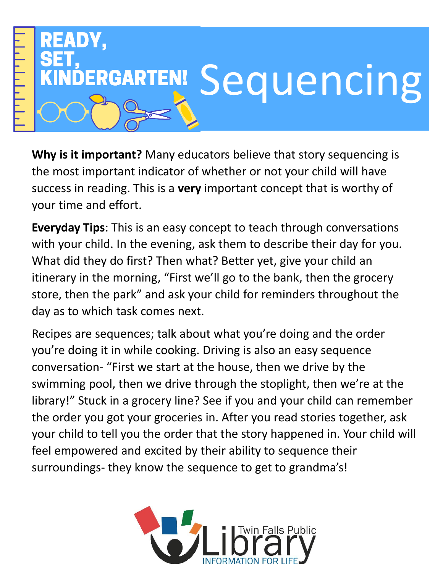

**Why is it important?** Many educators believe that story sequencing is the most important indicator of whether or not your child will have success in reading. This is a **very** important concept that is worthy of your time and effort.

**Everyday Tips**: This is an easy concept to teach through conversations with your child. In the evening, ask them to describe their day for you. What did they do first? Then what? Better yet, give your child an itinerary in the morning, "First we'll go to the bank, then the grocery store, then the park" and ask your child for reminders throughout the day as to which task comes next.

Recipes are sequences; talk about what you're doing and the order you're doing it in while cooking. Driving is also an easy sequence conversation- "First we start at the house, then we drive by the swimming pool, then we drive through the stoplight, then we're at the library!" Stuck in a grocery line? See if you and your child can remember the order you got your groceries in. After you read stories together, ask your child to tell you the order that the story happened in. Your child will feel empowered and excited by their ability to sequence their surroundings- they know the sequence to get to grandma's!